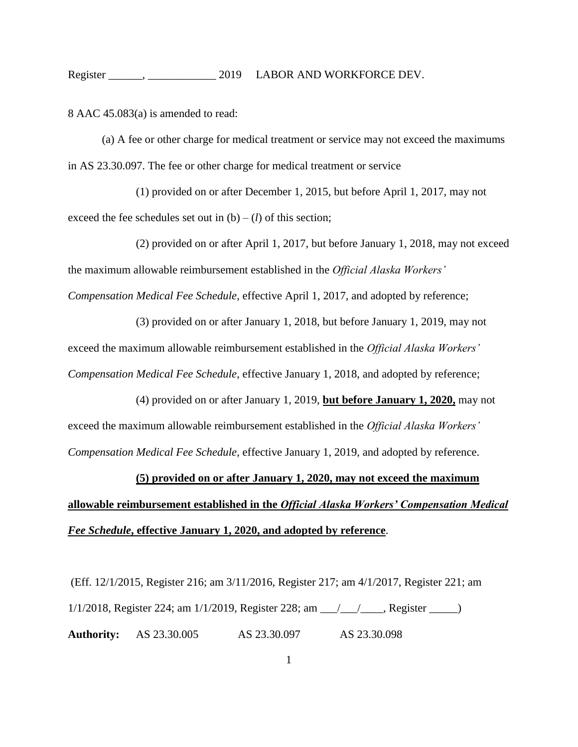## Register \_\_\_\_\_\_, \_\_\_\_\_\_\_\_\_\_\_\_ 2019 LABOR AND WORKFORCE DEV.

8 AAC 45.083(a) is amended to read:

(a) A fee or other charge for medical treatment or service may not exceed the maximums in AS 23.30.097. The fee or other charge for medical treatment or service

(1) provided on or after December 1, 2015, but before April 1, 2017, may not exceed the fee schedules set out in  $(b) - (l)$  of this section;

(2) provided on or after April 1, 2017, but before January 1, 2018, may not exceed the maximum allowable reimbursement established in the *Official Alaska Workers' Compensation Medical Fee Schedule*, effective April 1, 2017, and adopted by reference;

(3) provided on or after January 1, 2018, but before January 1, 2019, may not exceed the maximum allowable reimbursement established in the *Official Alaska Workers' Compensation Medical Fee Schedule*, effective January 1, 2018, and adopted by reference;

(4) provided on or after January 1, 2019, **but before January 1, 2020,** may not exceed the maximum allowable reimbursement established in the *Official Alaska Workers' Compensation Medical Fee Schedule*, effective January 1, 2019, and adopted by reference.

## **(5) provided on or after January 1, 2020, may not exceed the maximum allowable reimbursement established in the** *Official Alaska Workers' Compensation Medical Fee Schedule***, effective January 1, 2020, and adopted by reference**.

(Eff. 12/1/2015, Register 216; am 3/11/2016, Register 217; am 4/1/2017, Register 221; am 1/1/2018, Register 224; am 1/1/2019, Register 228; am \_\_\_/\_\_\_/\_\_\_\_, Register \_\_\_\_\_) **Authority:** AS 23.30.005 AS 23.30.097 AS 23.30.098